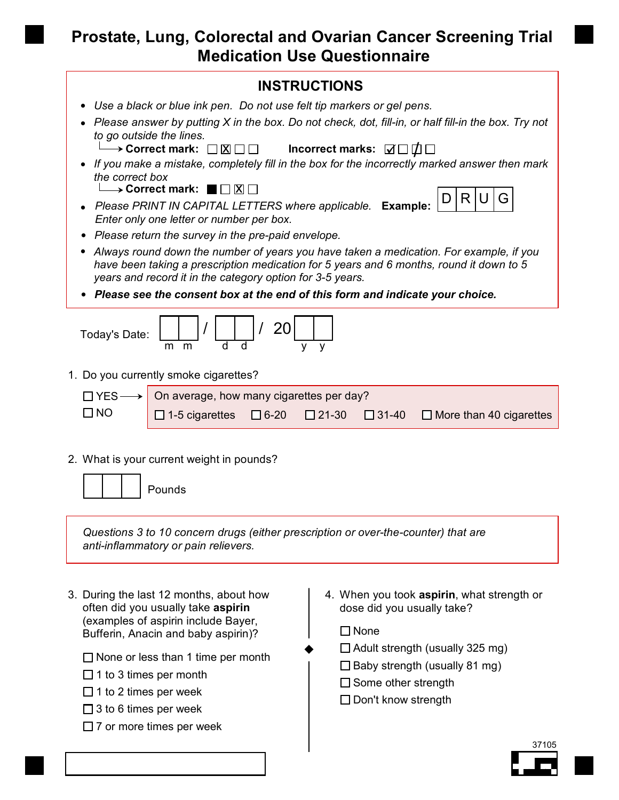## **Prostate, Lung, Colorectal and Ovarian Cancer Screening Trial Medication Use Questionnaire**

## Today's Date: m m 20 1. Do you currently smoke cigarettes?  $YES \rightarrow$  $\Box$  NO 2. What is your current weight in pounds? *Questions 3 to 10 concern drugs (either prescription or over-the-counter) that are anti-inflammatory or pain relievers.* On average, how many cigarettes per day?  $\Box$  1-5 cigarettes  $\Box$  6-20  $\Box$  21-30  $\Box$  31-40  $\Box$  More than 40 cigarettes Pounds **IF** *If you make a mistake, completely fill in the box for the incorrectly marked answer then mark<br>• If you make a mistake, completely fill in the box for the incorrectly marked answer then mark the correct box Please answer by putting X in the box. Do not check, dot, fill-in, or half fill-in the box. Try not to go outside the lines.*  $\rightarrow$  Correct mark:  $\square \boxtimes \square \square$ **INSTRUCTIONS Please PRINT IN CAPITAL LETTERS where applicable. Example:**  $\left|D \middle| R \middle| U \middle| G \right|$ *Enter only one letter or number per box. Please return the survey in the pre-paid envelope.* **Incorrect marks:**  $\Box$ **Correct mark:**  $\blacksquare$   $\Box$   $\boxtimes$   $\Box$  *Use a black or blue ink pen. Do not use felt tip markers or gel pens. Always round down the number of years you have taken a medication. For example, if you have been taking a prescription medication for 5 years and 6 months, round it down to 5 years and record it in the category option for 3-5 years. Please see the consent box at the end of this form and indicate your choice.*

3. During the last 12 months, about how often did you usually take **aspirin** (examples of aspirin include Bayer, Bufferin, Anacin and baby aspirin)?

 $\Box$  None or less than 1 time per month

- $\Box$  1 to 3 times per month
- $\Box$  1 to 2 times per week
- $\Box$  3 to 6 times per week
- $\Box$  7 or more times per week

When you took **aspirin**, what strength or 4. dose did you usually take?

 $\Box$  None

 $\blacklozenge$ 

- $\Box$  Adult strength (usually 325 mg)
- $\Box$  Baby strength (usually 81 mg)
- $\square$  Some other strength
- $\square$  Don't know strength

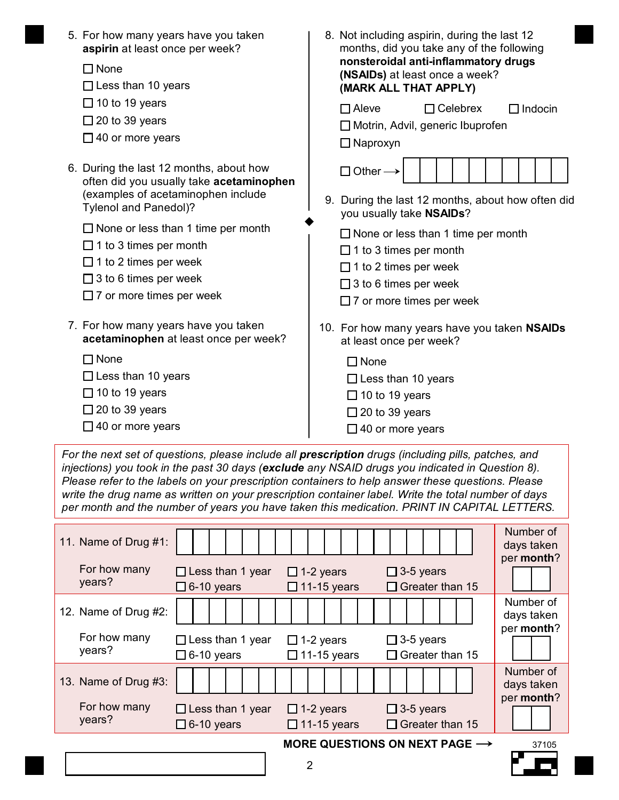| 5. For how many years have you taken<br>aspirin at least once per week?<br>$\Box$ None<br>$\Box$ Less than 10 years                                | 8. Not including aspirin, during the last 12<br>months, did you take any of the following<br>nonsteroidal anti-inflammatory drugs<br>(NSAIDs) at least once a week?<br>(MARK ALL THAT APPLY) |
|----------------------------------------------------------------------------------------------------------------------------------------------------|----------------------------------------------------------------------------------------------------------------------------------------------------------------------------------------------|
| $\Box$ 10 to 19 years<br>$\Box$ 20 to 39 years<br>$\Box$ 40 or more years                                                                          | $\Box$ Aleve<br>$\Box$ Celebrex<br>$\Box$ Indocin<br>□ Motrin, Advil, generic Ibuprofen<br>$\Box$ Naproxyn                                                                                   |
| 6. During the last 12 months, about how<br>often did you usually take acetaminophen<br>(examples of acetaminophen include<br>Tylenol and Panedol)? | $\Box$ Other -<br>9. During the last 12 months, about how often did<br>you usually take NSAIDs?                                                                                              |
| $\Box$ None or less than 1 time per month                                                                                                          | $\Box$ None or less than 1 time per month                                                                                                                                                    |
| $\Box$ 1 to 3 times per month                                                                                                                      | $\Box$ 1 to 3 times per month                                                                                                                                                                |
| $\Box$ 1 to 2 times per week                                                                                                                       | $\Box$ 1 to 2 times per week                                                                                                                                                                 |
| $\Box$ 3 to 6 times per week                                                                                                                       | $\Box$ 3 to 6 times per week                                                                                                                                                                 |
| $\Box$ 7 or more times per week                                                                                                                    | $\Box$ 7 or more times per week                                                                                                                                                              |
| 7. For how many years have you taken                                                                                                               | 10. For how many years have you taken NSAIDs                                                                                                                                                 |
| acetaminophen at least once per week?                                                                                                              | at least once per week?                                                                                                                                                                      |
| $\square$ None                                                                                                                                     | $\Box$ None                                                                                                                                                                                  |
| $\Box$ Less than 10 years                                                                                                                          | $\Box$ Less than 10 years                                                                                                                                                                    |
| $\Box$ 10 to 19 years                                                                                                                              | $\Box$ 10 to 19 years                                                                                                                                                                        |
| $\Box$ 20 to 39 years                                                                                                                              | $\Box$ 20 to 39 years                                                                                                                                                                        |
| $\Box$ 40 or more years                                                                                                                            | $\Box$ 40 or more years                                                                                                                                                                      |

*For the next set of questions, please include all prescription drugs (including pills, patches, and injections) you took in the past 30 days (exclude any NSAID drugs you indicated in Question 8). Please refer to the labels on your prescription containers to help answer these questions. Please write the drug name as written on your prescription container label. Write the total number of days per month and the number of years you have taken this medication. PRINT IN CAPITAL LETTERS.*

| 11. Name of Drug #1:   |                                              |                                                                                                                                |  |  |  |  |  |                  |   |  |                    |            |                                               |  |                 |                                           | Number of<br>days taken |
|------------------------|----------------------------------------------|--------------------------------------------------------------------------------------------------------------------------------|--|--|--|--|--|------------------|---|--|--------------------|------------|-----------------------------------------------|--|-----------------|-------------------------------------------|-------------------------|
| For how many<br>years? | $\Box$ Less than 1 year                      | $6-10$ years                                                                                                                   |  |  |  |  |  | $\Box$ 1-2 years |   |  | $\Box$ 11-15 years |            | $\square$ 3-5 years                           |  | Greater than 15 |                                           | per month?              |
| 12. Name of Drug #2:   |                                              |                                                                                                                                |  |  |  |  |  |                  |   |  |                    |            |                                               |  |                 |                                           | Number of<br>days taken |
| For how many<br>years? |                                              | $\square$ 3-5 years<br>Less than 1 year<br>$\Box$ 1-2 years<br>$\Box$ 6-10 years<br>Greater than 15<br>$\Box$ 11-15 years<br>П |  |  |  |  |  |                  |   |  |                    | per month? |                                               |  |                 |                                           |                         |
| 13. Name of Drug #3:   |                                              |                                                                                                                                |  |  |  |  |  |                  |   |  |                    |            |                                               |  |                 |                                           | Number of<br>days taken |
| For how many<br>years? | $\Box$ Less than 1 year<br>$\Box$ 6-10 years |                                                                                                                                |  |  |  |  |  | $\Box$ 1-2 years |   |  | $\Box$ 11-15 years |            | $\square$ 3-5 years<br>$\Box$ Greater than 15 |  |                 |                                           | per month?              |
|                        |                                              |                                                                                                                                |  |  |  |  |  |                  |   |  |                    |            |                                               |  |                 | MORE QUESTIONS ON NEXT PAGE $\rightarrow$ | 37105                   |
|                        |                                              |                                                                                                                                |  |  |  |  |  |                  | 2 |  |                    |            |                                               |  |                 |                                           |                         |